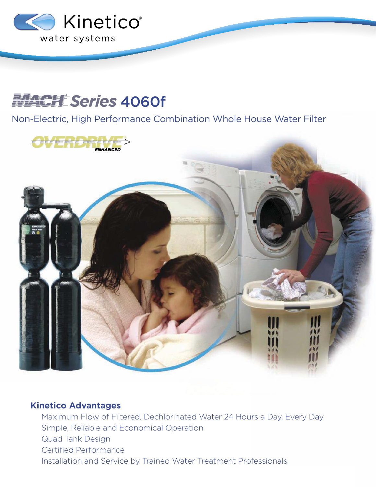

## **HACHLSeries 4060f**

Non-Electric, High Performance Combination Whole House Water Filter



## **Kinetico Advantages**

Maximum Flow of Filtered, Dechlorinated Water 24 Hours a Day, Every Day Simple, Reliable and Economical Operation Quad Tank Design Certified Performance Installation and Service by Trained Water Treatment Professionals